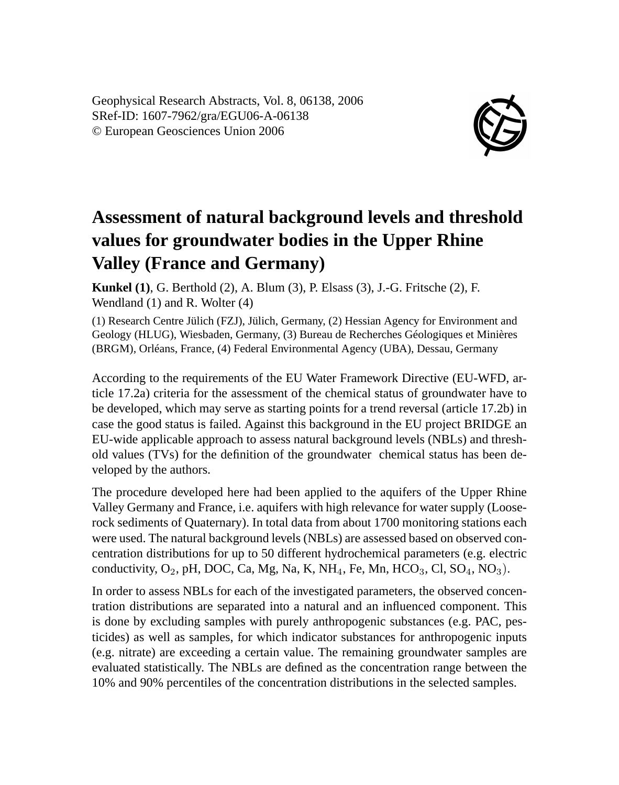Geophysical Research Abstracts, Vol. 8, 06138, 2006 SRef-ID: 1607-7962/gra/EGU06-A-06138 © European Geosciences Union 2006



## **Assessment of natural background levels and threshold values for groundwater bodies in the Upper Rhine Valley (France and Germany)**

**Kunkel (1)**, G. Berthold (2), A. Blum (3), P. Elsass (3), J.-G. Fritsche (2), F. Wendland (1) and R. Wolter (4)

(1) Research Centre Jülich (FZJ), Jülich, Germany, (2) Hessian Agency for Environment and Geology (HLUG), Wiesbaden, Germany, (3) Bureau de Recherches Géologiques et Minières (BRGM), Orléans, France, (4) Federal Environmental Agency (UBA), Dessau, Germany

According to the requirements of the EU Water Framework Directive (EU-WFD, article 17.2a) criteria for the assessment of the chemical status of groundwater have to be developed, which may serve as starting points for a trend reversal (article 17.2b) in case the good status is failed. Against this background in the EU project BRIDGE an EU-wide applicable approach to assess natural background levels (NBLs) and threshold values (TVs) for the definition of the groundwater chemical status has been developed by the authors.

The procedure developed here had been applied to the aquifers of the Upper Rhine Valley Germany and France, i.e. aquifers with high relevance for water supply (Looserock sediments of Quaternary). In total data from about 1700 monitoring stations each were used. The natural background levels (NBLs) are assessed based on observed concentration distributions for up to 50 different hydrochemical parameters (e.g. electric conductivity,  $O_2$ , pH, DOC, Ca, Mg, Na, K, NH<sub>4</sub>, Fe, Mn, HCO<sub>3</sub>, Cl, SO<sub>4</sub>, NO<sub>3</sub>).

In order to assess NBLs for each of the investigated parameters, the observed concentration distributions are separated into a natural and an influenced component. This is done by excluding samples with purely anthropogenic substances (e.g. PAC, pesticides) as well as samples, for which indicator substances for anthropogenic inputs (e.g. nitrate) are exceeding a certain value. The remaining groundwater samples are evaluated statistically. The NBLs are defined as the concentration range between the 10% and 90% percentiles of the concentration distributions in the selected samples.